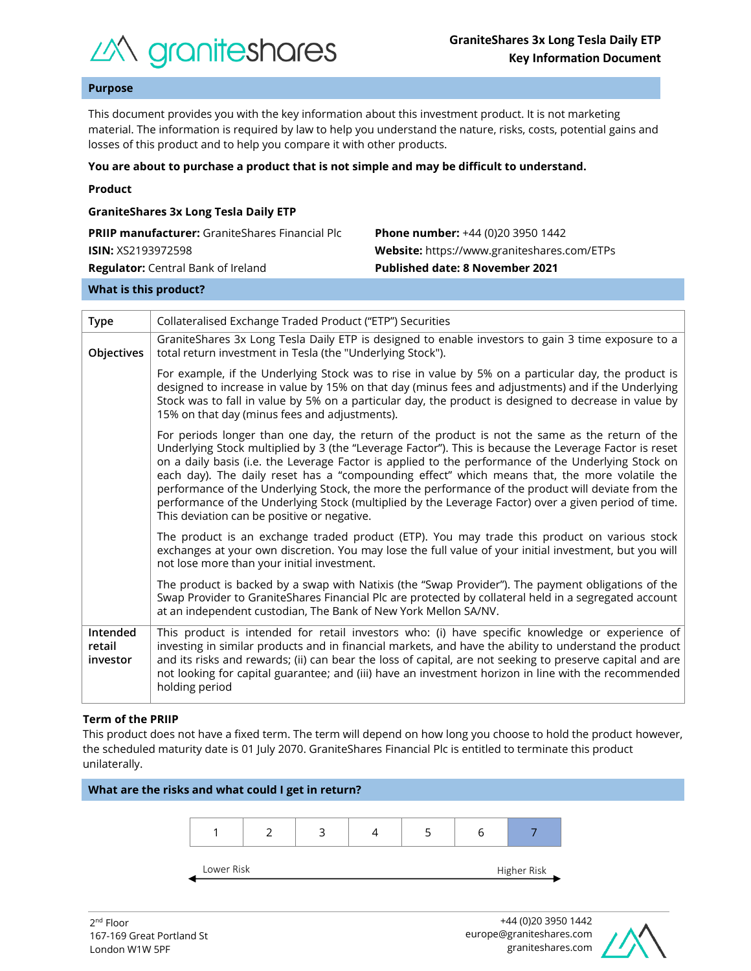

## **Purpose**

This document provides you with the key information about this investment product. It is not marketing material. The information is required by law to help you understand the nature, risks, costs, potential gains and losses of this product and to help you compare it with other products.

#### **You are about to purchase a product that is not simple and may be difficult to understand.**

| <b>GraniteShares 3x Long Tesla Daily ETP</b>           |                                             |
|--------------------------------------------------------|---------------------------------------------|
| <b>PRIIP manufacturer:</b> GraniteShares Financial Plc | <b>Phone number:</b> +44 (0)20 3950 1442    |
| <b>ISIN:</b> XS2193972598                              | Website: https://www.graniteshares.com/ETPs |
| <b>Regulator:</b> Central Bank of Ireland              | <b>Published date: 8 November 2021</b>      |
|                                                        |                                             |

#### **What is this product?**

| <b>Type</b>                    | Collateralised Exchange Traded Product ("ETP") Securities                                                                                                                                                                                                                                                                                                                                                                                                                                                                                                                                                                                                                      |  |  |  |
|--------------------------------|--------------------------------------------------------------------------------------------------------------------------------------------------------------------------------------------------------------------------------------------------------------------------------------------------------------------------------------------------------------------------------------------------------------------------------------------------------------------------------------------------------------------------------------------------------------------------------------------------------------------------------------------------------------------------------|--|--|--|
| Objectives                     | GraniteShares 3x Long Tesla Daily ETP is designed to enable investors to gain 3 time exposure to a<br>total return investment in Tesla (the "Underlying Stock").                                                                                                                                                                                                                                                                                                                                                                                                                                                                                                               |  |  |  |
|                                | For example, if the Underlying Stock was to rise in value by 5% on a particular day, the product is<br>designed to increase in value by 15% on that day (minus fees and adjustments) and if the Underlying<br>Stock was to fall in value by 5% on a particular day, the product is designed to decrease in value by<br>15% on that day (minus fees and adjustments).                                                                                                                                                                                                                                                                                                           |  |  |  |
|                                | For periods longer than one day, the return of the product is not the same as the return of the<br>Underlying Stock multiplied by 3 (the "Leverage Factor"). This is because the Leverage Factor is reset<br>on a daily basis (i.e. the Leverage Factor is applied to the performance of the Underlying Stock on<br>each day). The daily reset has a "compounding effect" which means that, the more volatile the<br>performance of the Underlying Stock, the more the performance of the product will deviate from the<br>performance of the Underlying Stock (multiplied by the Leverage Factor) over a given period of time.<br>This deviation can be positive or negative. |  |  |  |
|                                | The product is an exchange traded product (ETP). You may trade this product on various stock<br>exchanges at your own discretion. You may lose the full value of your initial investment, but you will<br>not lose more than your initial investment.                                                                                                                                                                                                                                                                                                                                                                                                                          |  |  |  |
|                                | The product is backed by a swap with Natixis (the "Swap Provider"). The payment obligations of the<br>Swap Provider to GraniteShares Financial Plc are protected by collateral held in a segregated account<br>at an independent custodian, The Bank of New York Mellon SA/NV.                                                                                                                                                                                                                                                                                                                                                                                                 |  |  |  |
| Intended<br>retail<br>investor | This product is intended for retail investors who: (i) have specific knowledge or experience of<br>investing in similar products and in financial markets, and have the ability to understand the product<br>and its risks and rewards; (ii) can bear the loss of capital, are not seeking to preserve capital and are<br>not looking for capital guarantee; and (iii) have an investment horizon in line with the recommended<br>holding period                                                                                                                                                                                                                               |  |  |  |

## **Term of the PRIIP**

This product does not have a fixed term. The term will depend on how long you choose to hold the product however, the scheduled maturity date is 01 July 2070. GraniteShares Financial Plc is entitled to terminate this product unilaterally.



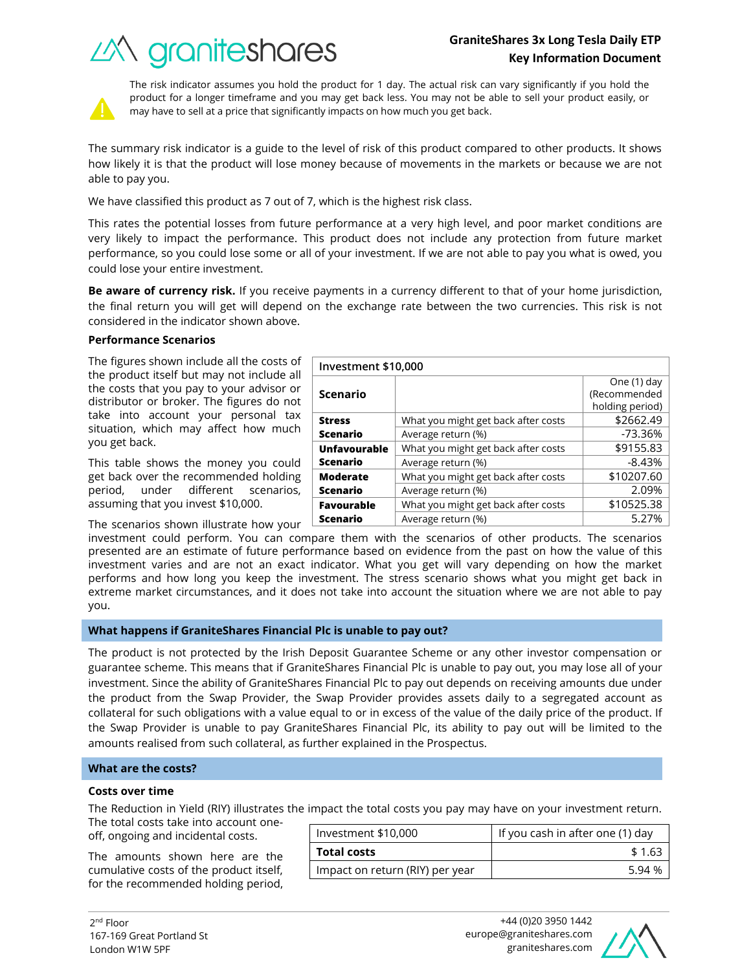# *industra de Segonies*

What you might get back after costs  $\sim$  \$2662.49 Average return (%) and the set of the set of the set of the set of the set of the set of the set of the set of the set of the set of the set of the set of the set of the set of the set of the set of the set of the set of t

What you might get back after costs | \$9155.83 Average return (%) and the set of the set of the set of the set of the set of the set of the set of the set of the set of the set of the set of the set of the set of the set of the set of the set of the set of the set of t

What you might get back after costs  $\vert$  \$10207.60 Average return (%) and the control of the 2.09%



The risk indicator assumes you hold the product for 1 day. The actual risk can vary significantly if you hold the product for a longer timeframe and you may get back less. You may not be able to sell your product easily, or may have to sell at a price that significantly impacts on how much you get back.

The summary risk indicator is a guide to the level of risk of this product compared to other products. It shows how likely it is that the product will lose money because of movements in the markets or because we are not able to pay you.

We have classified this product as 7 out of 7, which is the highest risk class.

This rates the potential losses from future performance at a very high level, and poor market conditions are very likely to impact the performance. This product does not include any protection from future market performance, so you could lose some or all of your investment. If we are not able to pay you what is owed, you could lose your entire investment.

**Be aware of currency risk.** If you receive payments in a currency different to that of your home jurisdiction, the final return you will get will depend on the exchange rate between the two currencies. This risk is not considered in the indicator shown above.

**Investment \$10,000**

**Scenario**

**Unfavourable Scenario**

**Moderate Scenario**

**Stress Scenario**

## **Performance Scenarios**

The figures shown include all the costs of the product itself but may not include all the costs that you pay to your advisor or distributor or broker. The figures do not take into account your personal tax situation, which may affect how much you get back.

This table shows the money you could get back over the recommended holding period, under different scenarios, assuming that you invest \$10,000.

The scenarios shown illustrate how your

investment could perform. You can compare them with the scenarios of other products. The scenarios presented are an estimate of future performance based on evidence from the past on how the value of this investment varies and are not an exact indicator. What you get will vary depending on how the market performs and how long you keep the investment. The stress scenario shows what you might get back in extreme market circumstances, and it does not take into account the situation where we are not able to pay you. **Favourable Scenario** What you might get back after costs  $\vert$  \$10525.38 Average return (%) 6.27%

## **What happens if GraniteShares Financial Plc is unable to pay out?**

The product is not protected by the Irish Deposit Guarantee Scheme or any other investor compensation or guarantee scheme. This means that if GraniteShares Financial Plc is unable to pay out, you may lose all of your investment. Since the ability of GraniteShares Financial Plc to pay out depends on receiving amounts due under the product from the Swap Provider, the Swap Provider provides assets daily to a segregated account as collateral for such obligations with a value equal to or in excess of the value of the daily price of the product. If the Swap Provider is unable to pay GraniteShares Financial Plc, its ability to pay out will be limited to the amounts realised from such collateral, as further explained in the Prospectus.

## **What are the costs?**

## **Costs over time**

The Reduction in Yield (RIY) illustrates the impact the total costs you pay may have on your investment return.

The total costs take into account oneoff, ongoing and incidental costs.

The amounts shown here are the cumulative costs of the product itself, for the recommended holding period,

| Investment \$10,000             | If you cash in after one (1) day |  |
|---------------------------------|----------------------------------|--|
| <b>Total costs</b>              | \$1.63                           |  |
| Impact on return (RIY) per year | 5.94 %                           |  |



One (1) day (Recommended holding period)